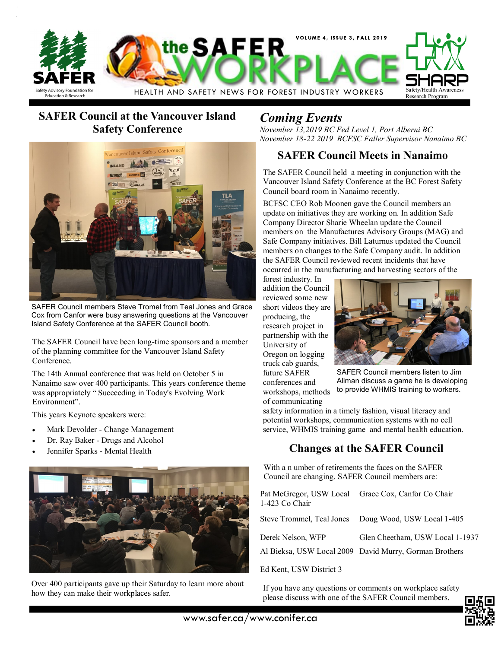

# **SAFER Council at the Vancouver Island Safety Conference**



SAFER Council members Steve Tromel from Teal Jones and Grace Cox from Canfor were busy answering questions at the Vancouver Island Safety Conference at the SAFER Council booth.

The SAFER Council have been long-time sponsors and a member of the planning committee for the Vancouver Island Safety Conference.

The 14th Annual conference that was held on October 5 in Nanaimo saw over 400 participants. This years conference theme was appropriately " Succeeding in Today's Evolving Work Environment".

This years Keynote speakers were:

- Mark Devolder Change Management
- Dr. Ray Baker Drugs and Alcohol
- Jennifer Sparks Mental Health



Over 400 participants gave up their Saturday to learn more about how they can make their workplaces safer.

# *Coming Events*

*November 13,2019 BC Fed Level 1, Port Alberni BC November 18-22 2019 BCFSC Faller Supervisor Nanaimo BC*

### **SAFER Council Meets in Nanaimo**

The SAFER Council held a meeting in conjunction with the Vancouver Island Safety Conference at the BC Forest Safety Council board room in Nanaimo recently.

BCFSC CEO Rob Moonen gave the Council members an update on initiatives they are working on. In addition Safe Company Director Sharie Wheelan update the Council members on the Manufactures Advisory Groups (MAG) and Safe Company initiatives. Bill Laturnus updated the Council members on changes to the Safe Company audit. In addition the SAFER Council reviewed recent incidents that have occurred in the manufacturing and harvesting sectors of the

forest industry. In addition the Council reviewed some new short videos they are producing, the research project in partnership with the University of Oregon on logging truck cab guards, future SAFER conferences and workshops, methods of communicating



SAFER Council members listen to Jim Allman discuss a game he is developing to provide WHMIS training to workers.

safety information in a timely fashion, visual literacy and potential workshops, communication systems with no cell service, WHMIS training game and mental health education.

## **Changes at the SAFER Council**

With a n umber of retirements the faces on the SAFER Council are changing. SAFER Council members are:

| 1-423 Co Chair    | Pat McGregor, USW Local Grace Cox, Canfor Co Chair                                        |
|-------------------|-------------------------------------------------------------------------------------------|
|                   | Steve Trommel, Teal Jones Doug Wood, USW Local 1-405                                      |
| Derek Nelson, WFP | Glen Cheetham, USW Local 1-1937<br>Al Bieksa, USW Local 2009 David Murry, Gorman Brothers |
|                   |                                                                                           |

Ed Kent, USW District 3

If you have any questions or comments on workplace safety please discuss with one of the SAFER Council members.